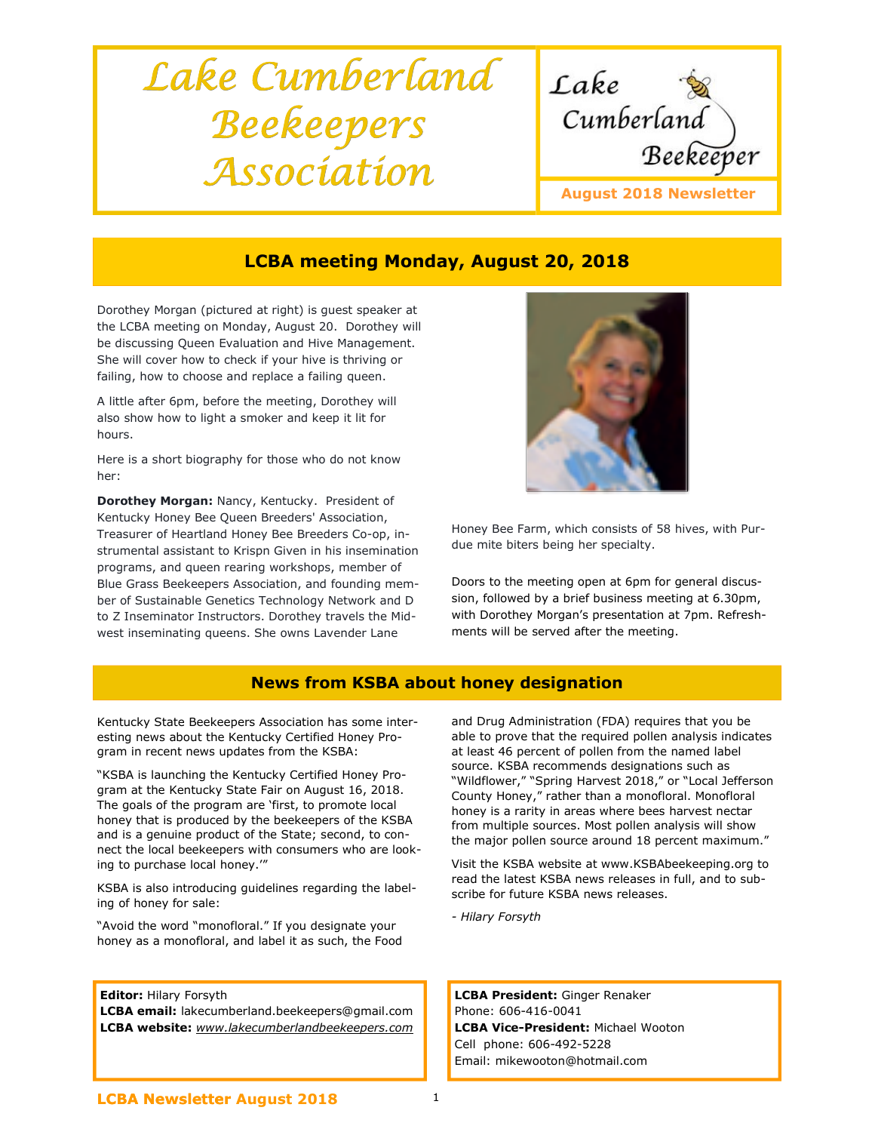# Lake Cumberland Beekeepers Association



# LCBA meeting Monday, August 20, 2018

Dorothey Morgan (pictured at right) is guest speaker at the LCBA meeting on Monday, August 20. Dorothey will be discussing Queen Evaluation and Hive Management. She will cover how to check if your hive is thriving or failing, how to choose and replace a failing queen.

A little after 6pm, before the meeting, Dorothey will also show how to light a smoker and keep it lit for hours.

Here is a short biography for those who do not know her:

Dorothey Morgan: Nancy, Kentucky. President of Kentucky Honey Bee Queen Breeders' Association, Treasurer of Heartland Honey Bee Breeders Co-op, instrumental assistant to Krispn Given in his insemination programs, and queen rearing workshops, member of Blue Grass Beekeepers Association, and founding member of Sustainable Genetics Technology Network and D to Z Inseminator Instructors. Dorothey travels the Midwest inseminating queens. She owns Lavender Lane



Honey Bee Farm, which consists of 58 hives, with Purdue mite biters being her specialty.

Doors to the meeting open at 6pm for general discussion, followed by a brief business meeting at 6.30pm, with Dorothey Morgan's presentation at 7pm. Refreshments will be served after the meeting.

## News from KSBA about honey designation

Kentucky State Beekeepers Association has some interesting news about the Kentucky Certified Honey Program in recent news updates from the KSBA:

"KSBA is launching the Kentucky Certified Honey Program at the Kentucky State Fair on August 16, 2018. The goals of the program are 'first, to promote local honey that is produced by the beekeepers of the KSBA and is a genuine product of the State; second, to connect the local beekeepers with consumers who are looking to purchase local honey.'"

KSBA is also introducing guidelines regarding the labeling of honey for sale:

"Avoid the word "monofloral." If you designate your honey as a monofloral, and label it as such, the Food

#### **Editor: Hilary Forsyth**

LCBA email: lakecumberland.beekeepers@gmail.com LCBA website: www.lakecumberlandbeekeepers.com and Drug Administration (FDA) requires that you be able to prove that the required pollen analysis indicates at least 46 percent of pollen from the named label source. KSBA recommends designations such as "Wildflower," "Spring Harvest 2018," or "Local Jefferson County Honey," rather than a monofloral. Monofloral honey is a rarity in areas where bees harvest nectar from multiple sources. Most pollen analysis will show the major pollen source around 18 percent maximum."

Visit the KSBA website at www.KSBAbeekeeping.org to read the latest KSBA news releases in full, and to subscribe for future KSBA news releases.

- Hilary Forsyth

LCBA President: Ginger Renaker Phone: 606-416-0041 LCBA Vice-President: Michael Wooton Cell phone: 606-492-5228 Email: mikewooton@hotmail.com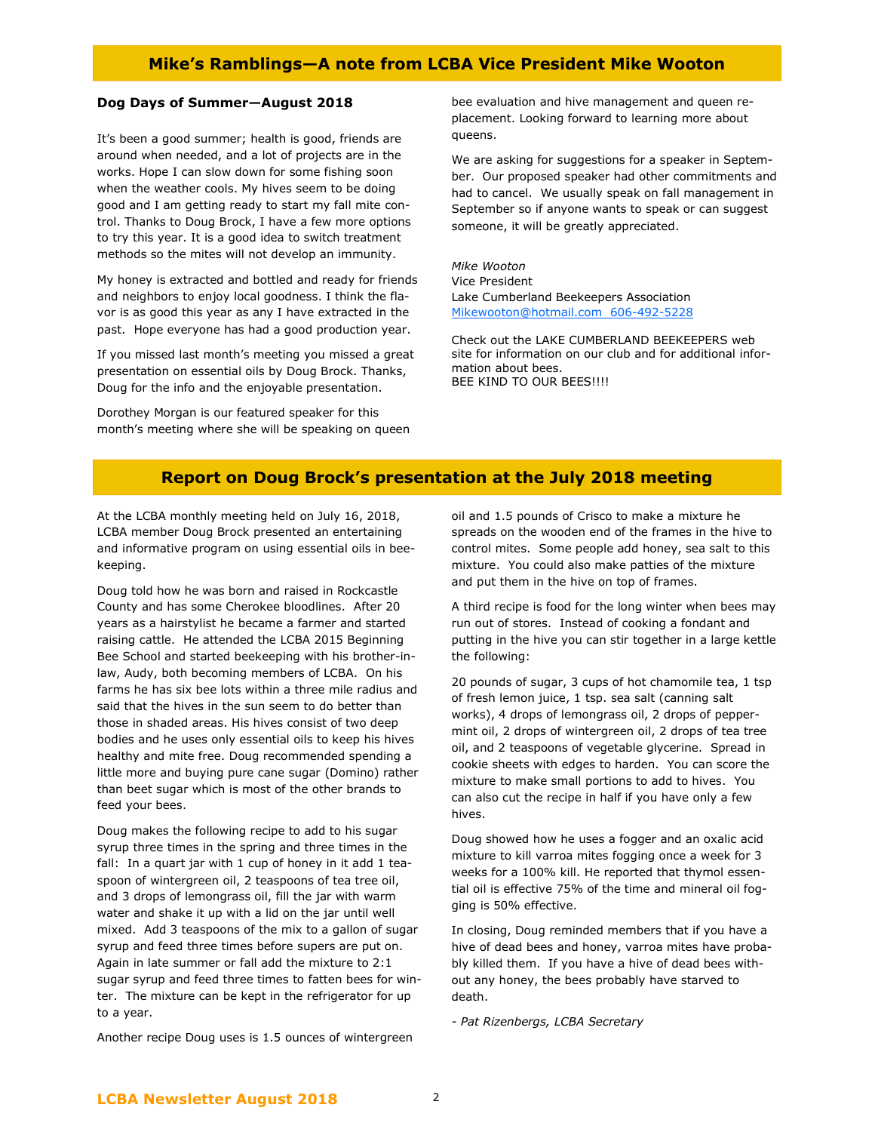### Mike's Ramblings—A note from LCBA Vice President Mike Wooton

#### Dog Days of Summer—August 2018

It's been a good summer; health is good, friends are around when needed, and a lot of projects are in the works. Hope I can slow down for some fishing soon when the weather cools. My hives seem to be doing good and I am getting ready to start my fall mite control. Thanks to Doug Brock, I have a few more options to try this year. It is a good idea to switch treatment methods so the mites will not develop an immunity.

My honey is extracted and bottled and ready for friends and neighbors to enjoy local goodness. I think the flavor is as good this year as any I have extracted in the past. Hope everyone has had a good production year.

If you missed last month's meeting you missed a great presentation on essential oils by Doug Brock. Thanks, Doug for the info and the enjoyable presentation.

Dorothey Morgan is our featured speaker for this month's meeting where she will be speaking on queen bee evaluation and hive management and queen replacement. Looking forward to learning more about queens.

We are asking for suggestions for a speaker in September. Our proposed speaker had other commitments and had to cancel. We usually speak on fall management in September so if anyone wants to speak or can suggest someone, it will be greatly appreciated.

Mike Wooton Vice President Lake Cumberland Beekeepers Association Mikewooton@hotmail.com 606-492-5228

Check out the LAKE CUMBERLAND BEEKEEPERS web site for information on our club and for additional information about bees. BEE KIND TO OUR BEES!!!!

#### Report on Doug Brock's presentation at the July 2018 meeting

At the LCBA monthly meeting held on July 16, 2018, LCBA member Doug Brock presented an entertaining and informative program on using essential oils in beekeeping.

Doug told how he was born and raised in Rockcastle County and has some Cherokee bloodlines. After 20 years as a hairstylist he became a farmer and started raising cattle. He attended the LCBA 2015 Beginning Bee School and started beekeeping with his brother-inlaw, Audy, both becoming members of LCBA. On his farms he has six bee lots within a three mile radius and said that the hives in the sun seem to do better than those in shaded areas. His hives consist of two deep bodies and he uses only essential oils to keep his hives healthy and mite free. Doug recommended spending a little more and buying pure cane sugar (Domino) rather than beet sugar which is most of the other brands to feed your bees.

Doug makes the following recipe to add to his sugar syrup three times in the spring and three times in the fall: In a quart jar with 1 cup of honey in it add 1 teaspoon of wintergreen oil, 2 teaspoons of tea tree oil, and 3 drops of lemongrass oil, fill the jar with warm water and shake it up with a lid on the jar until well mixed. Add 3 teaspoons of the mix to a gallon of sugar syrup and feed three times before supers are put on. Again in late summer or fall add the mixture to 2:1 sugar syrup and feed three times to fatten bees for winter. The mixture can be kept in the refrigerator for up to a year.

Another recipe Doug uses is 1.5 ounces of wintergreen

oil and 1.5 pounds of Crisco to make a mixture he spreads on the wooden end of the frames in the hive to control mites. Some people add honey, sea salt to this mixture. You could also make patties of the mixture and put them in the hive on top of frames.

A third recipe is food for the long winter when bees may run out of stores. Instead of cooking a fondant and putting in the hive you can stir together in a large kettle the following:

20 pounds of sugar, 3 cups of hot chamomile tea, 1 tsp of fresh lemon juice, 1 tsp. sea salt (canning salt works), 4 drops of lemongrass oil, 2 drops of peppermint oil, 2 drops of wintergreen oil, 2 drops of tea tree oil, and 2 teaspoons of vegetable glycerine. Spread in cookie sheets with edges to harden. You can score the mixture to make small portions to add to hives. You can also cut the recipe in half if you have only a few hives.

Doug showed how he uses a fogger and an oxalic acid mixture to kill varroa mites fogging once a week for 3 weeks for a 100% kill. He reported that thymol essential oil is effective 75% of the time and mineral oil fogging is 50% effective.

In closing, Doug reminded members that if you have a hive of dead bees and honey, varroa mites have probably killed them. If you have a hive of dead bees without any honey, the bees probably have starved to death.

- Pat Rizenbergs, LCBA Secretary